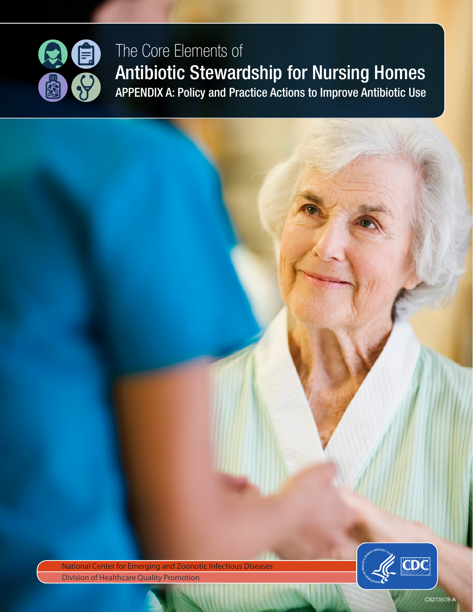

# The Core Elements of Antibiotic Stewardship for Nursing Homes APPENDIX A: Policy and Practice Actions to Improve Antibiotic Use

National Center for Emerging and Zoonotic Infectious Diseases **Division of Healthcare Quality Promotion** 



CS273578-A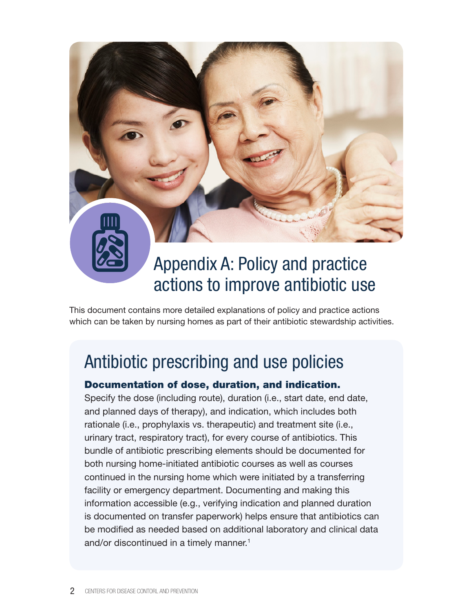

# Appendix A: Policy and practice actions to improve antibiotic use

This document contains more detailed explanations of policy and practice actions which can be taken by nursing homes as part of their antibiotic stewardship activities.

# Antibiotic prescribing and use policies

### Documentation of dose, duration, and indication.

Specify the dose (including route), duration (i.e., start date, end date, and planned days of therapy), and indication, which includes both rationale (i.e., prophylaxis vs. therapeutic) and treatment site (i.e., urinary tract, respiratory tract), for every course of antibiotics. This bundle of antibiotic prescribing elements should be documented for both nursing home-initiated antibiotic courses as well as courses continued in the nursing home which were initiated by a transferring facility or emergency department. Documenting and making this information accessible (e.g., verifying indication and planned duration is documented on transfer paperwork) helps ensure that antibiotics can be modified as needed based on additional laboratory and clinical data and/or discontinued in a timely manner.<sup>1</sup>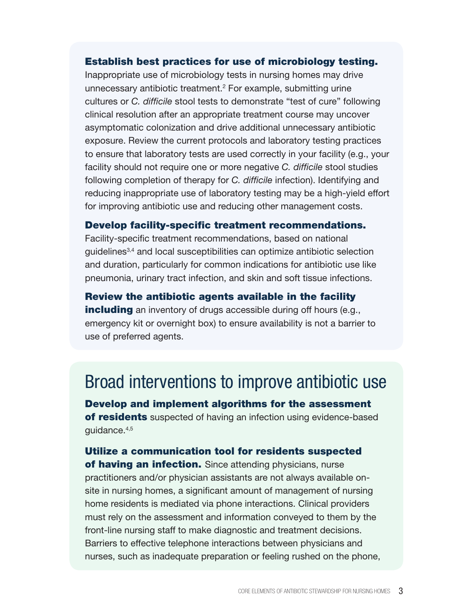#### Establish best practices for use of microbiology testing.

Inappropriate use of microbiology tests in nursing homes may drive unnecessary antibiotic treatment.2 For example, submitting urine cultures or *C. difficile* stool tests to demonstrate "test of cure" following clinical resolution after an appropriate treatment course may uncover asymptomatic colonization and drive additional unnecessary antibiotic exposure. Review the current protocols and laboratory testing practices to ensure that laboratory tests are used correctly in your facility (e.g., your facility should not require one or more negative *C. difficile* stool studies following completion of therapy for *C. difficile* infection). Identifying and reducing inappropriate use of laboratory testing may be a high-yield effort for improving antibiotic use and reducing other management costs.

### Develop facility-specific treatment recommendations.

Facility-specific treatment recommendations, based on national guidelines<sup>3,4</sup> and local susceptibilities can optimize antibiotic selection and duration, particularly for common indications for antibiotic use like pneumonia, urinary tract infection, and skin and soft tissue infections.

### Review the antibiotic agents available in the facility

**including** an inventory of drugs accessible during off hours (e.g., emergency kit or overnight box) to ensure availability is not a barrier to use of preferred agents.

## Broad interventions to improve antibiotic use

Develop and implement algorithms for the assessment of residents suspected of having an infection using evidence-based guidance.4,5

Utilize a communication tool for residents suspected of having an infection. Since attending physicians, nurse practitioners and/or physician assistants are not always available onsite in nursing homes, a significant amount of management of nursing home residents is mediated via phone interactions. Clinical providers must rely on the assessment and information conveyed to them by the front-line nursing staff to make diagnostic and treatment decisions. Barriers to effective telephone interactions between physicians and nurses, such as inadequate preparation or feeling rushed on the phone,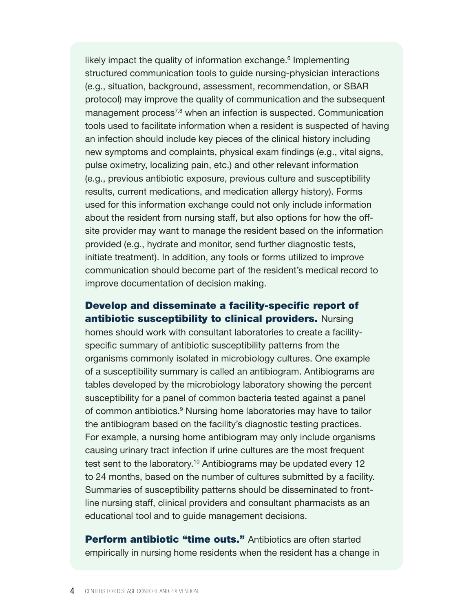likely impact the quality of information exchange.<sup>6</sup> Implementing structured communication tools to guide nursing-physician interactions (e.g., situation, background, assessment, recommendation, or SBAR protocol) may improve the quality of communication and the subsequent management process<sup>7,8</sup> when an infection is suspected. Communication tools used to facilitate information when a resident is suspected of having an infection should include key pieces of the clinical history including new symptoms and complaints, physical exam findings (e.g., vital signs, pulse oximetry, localizing pain, etc.) and other relevant information (e.g., previous antibiotic exposure, previous culture and susceptibility results, current medications, and medication allergy history). Forms used for this information exchange could not only include information about the resident from nursing staff, but also options for how the offsite provider may want to manage the resident based on the information provided (e.g., hydrate and monitor, send further diagnostic tests, initiate treatment). In addition, any tools or forms utilized to improve communication should become part of the resident's medical record to improve documentation of decision making.

### Develop and disseminate a facility-specific report of antibiotic susceptibility to clinical providers. Nursing

homes should work with consultant laboratories to create a facilityspecific summary of antibiotic susceptibility patterns from the organisms commonly isolated in microbiology cultures. One example of a susceptibility summary is called an antibiogram. Antibiograms are tables developed by the microbiology laboratory showing the percent susceptibility for a panel of common bacteria tested against a panel of common antibiotics.<sup>9</sup> Nursing home laboratories may have to tailor the antibiogram based on the facility's diagnostic testing practices. For example, a nursing home antibiogram may only include organisms causing urinary tract infection if urine cultures are the most frequent test sent to the laboratory.<sup>10</sup> Antibiograms may be updated every 12 to 24 months, based on the number of cultures submitted by a facility. Summaries of susceptibility patterns should be disseminated to frontline nursing staff, clinical providers and consultant pharmacists as an educational tool and to guide management decisions.

**Perform antibiotic "time outs."** Antibiotics are often started empirically in nursing home residents when the resident has a change in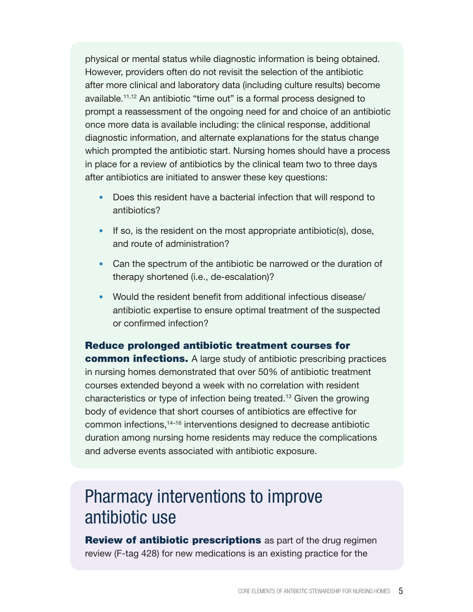physical or mental status while diagnostic information is being obtained. However, providers often do not revisit the selection of the antibiotic after more clinical and laboratory data (including culture results) become available.11,12 An antibiotic "time out" is a formal process designed to prompt a reassessment of the ongoing need for and choice of an antibiotic once more data is available including: the clinical response, additional diagnostic information, and alternate explanations for the status change which prompted the antibiotic start. Nursing homes should have a process in place for a review of antibiotics by the clinical team two to three days after antibiotics are initiated to answer these key questions:

- Does this resident have a bacterial infection that will respond to antibiotics?
- If so, is the resident on the most appropriate antibiotic(s), dose, and route of administration?
- Can the spectrum of the antibiotic be narrowed or the duration of therapy shortened (i.e., de-escalation)?
- Would the resident benefit from additional infectious disease/ antibiotic expertise to ensure optimal treatment of the suspected or confirmed infection?

Reduce prolonged antibiotic treatment courses for common infections. A large study of antibiotic prescribing practices in nursing homes demonstrated that over 50% of antibiotic treatment courses extended beyond a week with no correlation with resident characteristics or type of infection being treated.13 Given the growing body of evidence that short courses of antibiotics are effective for common infections,14–16 interventions designed to decrease antibiotic duration among nursing home residents may reduce the complications and adverse events associated with antibiotic exposure.

# Pharmacy interventions to improve antibiotic use

**Review of antibiotic prescriptions** as part of the drug regimen review (F-tag 428) for new medications is an existing practice for the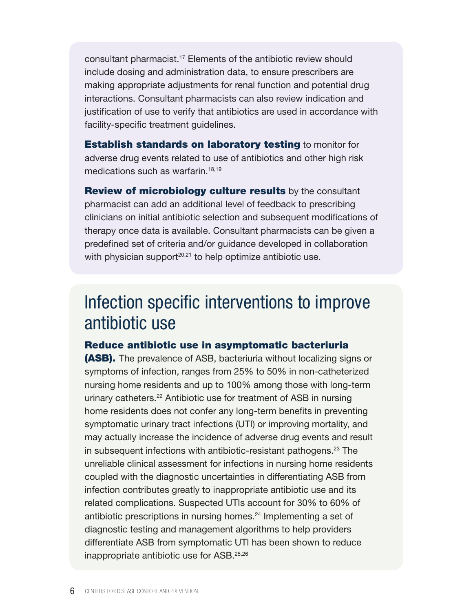consultant pharmacist.17 Elements of the antibiotic review should include dosing and administration data, to ensure prescribers are making appropriate adjustments for renal function and potential drug interactions. Consultant pharmacists can also review indication and justification of use to verify that antibiotics are used in accordance with facility-specific treatment guidelines.

**Establish standards on laboratory testing to monitor for** adverse drug events related to use of antibiotics and other high risk medications such as warfarin.<sup>18,19</sup>

Review of microbiology culture results by the consultant pharmacist can add an additional level of feedback to prescribing clinicians on initial antibiotic selection and subsequent modifications of therapy once data is available. Consultant pharmacists can be given a predefined set of criteria and/or guidance developed in collaboration with physician support $20,21$  to help optimize antibiotic use.

## Infection specific interventions to improve antibiotic use

#### Reduce antibiotic use in asymptomatic bacteriuria

**(ASB).** The prevalence of ASB, bacteriuria without localizing signs or symptoms of infection, ranges from 25% to 50% in non-catheterized nursing home residents and up to 100% among those with long-term urinary catheters.<sup>22</sup> Antibiotic use for treatment of ASB in nursing home residents does not confer any long-term benefits in preventing symptomatic urinary tract infections (UTI) or improving mortality, and may actually increase the incidence of adverse drug events and result in subsequent infections with antibiotic-resistant pathogens.<sup>23</sup> The unreliable clinical assessment for infections in nursing home residents coupled with the diagnostic uncertainties in differentiating ASB from infection contributes greatly to inappropriate antibiotic use and its related complications. Suspected UTIs account for 30% to 60% of antibiotic prescriptions in nursing homes.<sup>24</sup> Implementing a set of diagnostic testing and management algorithms to help providers differentiate ASB from symptomatic UTI has been shown to reduce inappropriate antibiotic use for ASB.25,26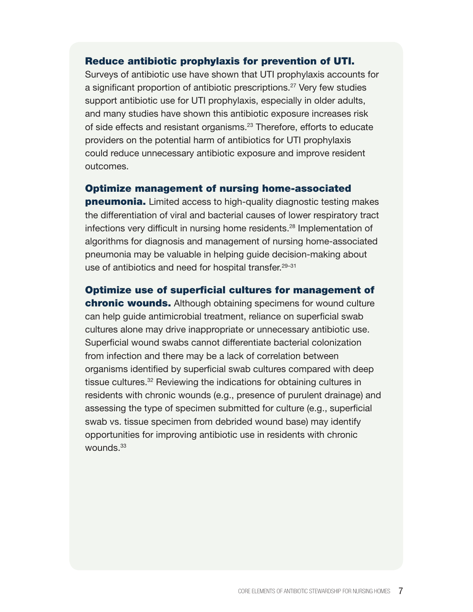#### Reduce antibiotic prophylaxis for prevention of UTI.

Surveys of antibiotic use have shown that UTI prophylaxis accounts for a significant proportion of antibiotic prescriptions.<sup>27</sup> Very few studies support antibiotic use for UTI prophylaxis, especially in older adults, and many studies have shown this antibiotic exposure increases risk of side effects and resistant organisms.<sup>23</sup> Therefore, efforts to educate providers on the potential harm of antibiotics for UTI prophylaxis could reduce unnecessary antibiotic exposure and improve resident outcomes.

#### Optimize management of nursing home-associated

**pneumonia.** Limited access to high-quality diagnostic testing makes the differentiation of viral and bacterial causes of lower respiratory tract infections very difficult in nursing home residents.<sup>28</sup> Implementation of algorithms for diagnosis and management of nursing home-associated pneumonia may be valuable in helping guide decision-making about use of antibiotics and need for hospital transfer.<sup>29-31</sup>

Optimize use of superficial cultures for management of

chronic wounds. Although obtaining specimens for wound culture can help guide antimicrobial treatment, reliance on superficial swab cultures alone may drive inappropriate or unnecessary antibiotic use. Superficial wound swabs cannot differentiate bacterial colonization from infection and there may be a lack of correlation between organisms identified by superficial swab cultures compared with deep tissue cultures.<sup>32</sup> Reviewing the indications for obtaining cultures in residents with chronic wounds (e.g., presence of purulent drainage) and assessing the type of specimen submitted for culture (e.g., superficial swab vs. tissue specimen from debrided wound base) may identify opportunities for improving antibiotic use in residents with chronic wounds.<sup>33</sup>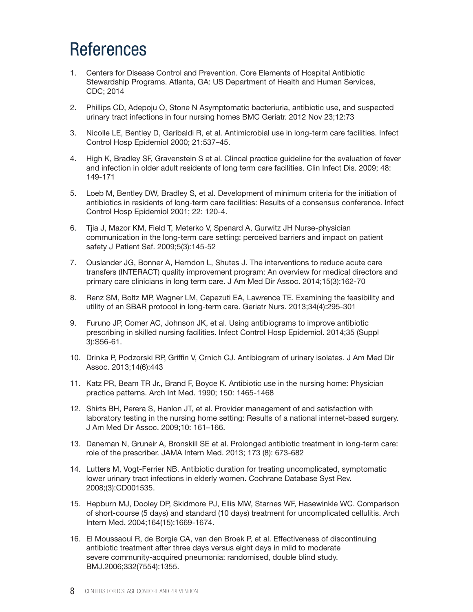# References

- 1. Centers for Disease Control and Prevention. Core Elements of Hospital Antibiotic Stewardship Programs. Atlanta, GA: US Department of Health and Human Services, CDC; 2014
- 2. Phillips CD, Adepoju O, Stone N Asymptomatic bacteriuria, antibiotic use, and suspected urinary tract infections in four nursing homes BMC Geriatr. 2012 Nov 23;12:73
- 3. Nicolle LE, Bentley D, Garibaldi R, et al. Antimicrobial use in long-term care facilities. Infect Control Hosp Epidemiol 2000; 21:537–45.
- 4. High K, Bradley SF, Gravenstein S et al. Clincal practice guideline for the evaluation of fever and infection in older adult residents of long term care facilities. Clin Infect Dis. 2009; 48: 149-171
- 5. Loeb M, Bentley DW, Bradley S, et al. Development of minimum criteria for the initiation of antibiotics in residents of long-term care facilities: Results of a consensus conference. Infect Control Hosp Epidemiol 2001; 22: 120-4.
- 6. Tjia J, Mazor KM, Field T, Meterko V, Spenard A, Gurwitz JH Nurse-physician communication in the long-term care setting: perceived barriers and impact on patient safety J Patient Saf. 2009;5(3):145-52
- 7. Ouslander JG, Bonner A, Herndon L, Shutes J. The interventions to reduce acute care transfers (INTERACT) quality improvement program: An overview for medical directors and primary care clinicians in long term care. J Am Med Dir Assoc. 2014;15(3):162-70
- 8. Renz SM, Boltz MP, Wagner LM, Capezuti EA, Lawrence TE. Examining the feasibility and utility of an SBAR protocol in long-term care. Geriatr Nurs. 2013;34(4):295-301
- 9. Furuno JP, Comer AC, Johnson JK, et al. Using antibiograms to improve antibiotic prescribing in skilled nursing facilities. Infect Control Hosp Epidemiol. 2014;35 (Suppl 3):S56-61.
- 10. Drinka P, Podzorski RP, Griffin V, Crnich CJ. Antibiogram of urinary isolates. J Am Med Dir Assoc. 2013;14(6):443
- 11. Katz PR, Beam TR Jr., Brand F, Boyce K. Antibiotic use in the nursing home: Physician practice patterns. Arch Int Med. 1990; 150: 1465-1468
- 12. Shirts BH, Perera S, Hanlon JT, et al. Provider management of and satisfaction with laboratory testing in the nursing home setting: Results of a national internet-based surgery. J Am Med Dir Assoc. 2009;10: 161–166.
- 13. Daneman N, Gruneir A, Bronskill SE et al. Prolonged antibiotic treatment in long-term care: role of the prescriber. JAMA Intern Med. 2013; 173 (8): 673-682
- 14. Lutters M, Vogt-Ferrier NB. Antibiotic duration for treating uncomplicated, symptomatic lower urinary tract infections in elderly women. Cochrane Database Syst Rev. 2008;(3):CD001535.
- 15. Hepburn MJ, Dooley DP, Skidmore PJ, Ellis MW, Starnes WF, Hasewinkle WC. Comparison of short-course (5 days) and standard (10 days) treatment for uncomplicated cellulitis. Arch Intern Med. 2004;164(15):1669-1674.
- 16. El Moussaoui R, de Borgie CA, van den Broek P, et al. Effectiveness of discontinuing antibiotic treatment after three days versus eight days in mild to moderate severe community-acquired pneumonia: randomised, double blind study. BMJ.2006;332(7554):1355.